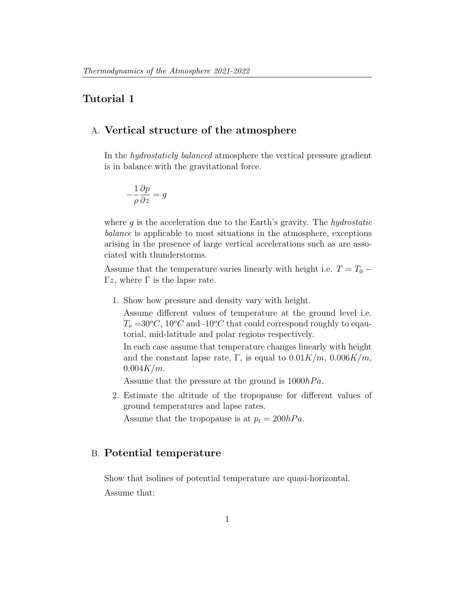## Tutorial 1

## A. Vertical structure of the atmosphere

In the hydrostaticly balanced atmosphere the vertical pressure gradient is in balance with the gravitational force.

$$
-\frac{1}{\rho}\frac{\partial p}{\partial z} = g
$$

where  $g$  is the acceleration due to the Earth's gravity. The *hydrostatic* balance is applicable to most situations in the atmosphere, exceptions arising in the presence of large vertical accelerations such as are associated with thunderstorms.

Assume that the temperature varies linearly with height i.e.  $T = T_0 -$ Γz, where  $Γ$  is the lapse rate.

1. Show how pressure and density vary with height.

Assume different values of temperature at the ground level i.e.  $T_o = 30^{\circ}C$ ,  $10^{\circ}C$  and  $-10^{\circ}C$  that could correspond roughly to eqautorial, mid-latitude and polar regions respectively.

In each case assume that temperature changes linearly with height and the constant lapse rate, Γ, is equal to  $0.01K/m$ ,  $0.006K/m$ ,  $0.004K/m$ .

Assume that the pressure at the ground is  $1000hPa$ .

2. Estimate the altitude of the tropopause for different values of ground temperatures and lapse rates.

Assume that the tropopause is at  $p_t = 200hPa$ .

## B. Potential temperature

Show that isolines of potential temperature are quasi-horizontal. Assume that: